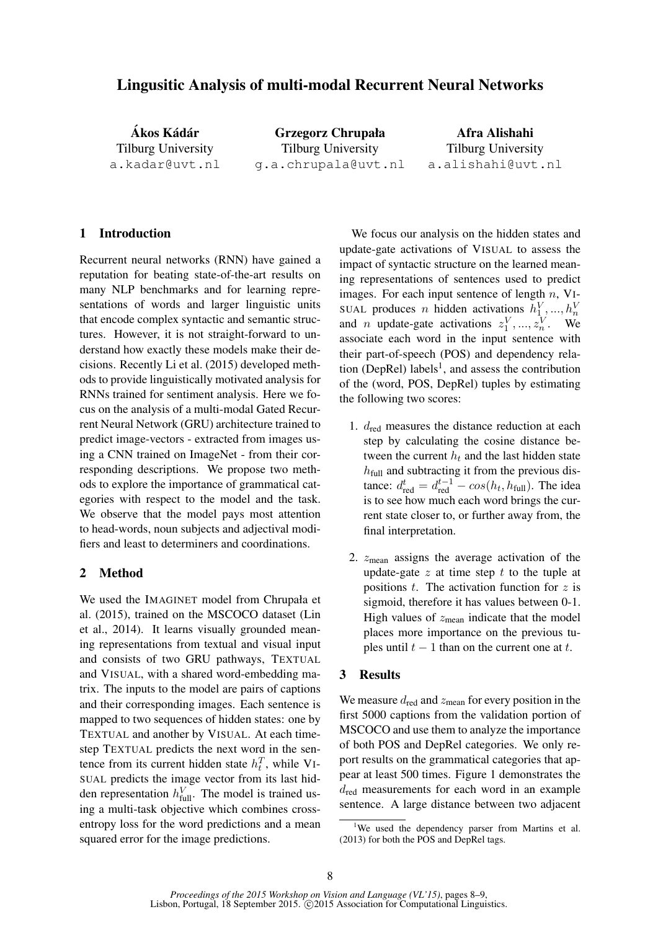# Lingusitic Analysis of multi-modal Recurrent Neural Networks

Ákos Kádár Tilburg University a.kadar@uvt.nl Grzegorz Chrupała Tilburg University g.a.chrupala@uvt.nl

Afra Alishahi Tilburg University a.alishahi@uvt.nl

## 1 Introduction

Recurrent neural networks (RNN) have gained a reputation for beating state-of-the-art results on many NLP benchmarks and for learning representations of words and larger linguistic units that encode complex syntactic and semantic structures. However, it is not straight-forward to understand how exactly these models make their decisions. Recently Li et al. (2015) developed methods to provide linguistically motivated analysis for RNNs trained for sentiment analysis. Here we focus on the analysis of a multi-modal Gated Recurrent Neural Network (GRU) architecture trained to predict image-vectors - extracted from images using a CNN trained on ImageNet - from their corresponding descriptions. We propose two methods to explore the importance of grammatical categories with respect to the model and the task. We observe that the model pays most attention to head-words, noun subjects and adjectival modifiers and least to determiners and coordinations.

#### 2 Method

We used the IMAGINET model from Chrupała et al. (2015), trained on the MSCOCO dataset (Lin et al., 2014). It learns visually grounded meaning representations from textual and visual input and consists of two GRU pathways, TEXTUAL and VISUAL, with a shared word-embedding matrix. The inputs to the model are pairs of captions and their corresponding images. Each sentence is mapped to two sequences of hidden states: one by TEXTUAL and another by VISUAL. At each timestep TEXTUAL predicts the next word in the sentence from its current hidden state  $h_t^T$ , while VI-SUAL predicts the image vector from its last hidden representation  $h_{\text{full}}^V$ . The model is trained using a multi-task objective which combines crossentropy loss for the word predictions and a mean squared error for the image predictions.

We focus our analysis on the hidden states and update-gate activations of VISUAL to assess the impact of syntactic structure on the learned meaning representations of sentences used to predict images. For each input sentence of length  $n$ , VI-SUAL produces *n* hidden activations  $h_1^V, ..., h_n^V$ and *n* update-gate activations  $z_1^V, ..., z_n^V$ . We associate each word in the input sentence with their part-of-speech (POS) and dependency relation (DepRel) labels<sup>1</sup>, and assess the contribution of the (word, POS, DepRel) tuples by estimating the following two scores:

- 1.  $d_{\text{red}}$  measures the distance reduction at each step by calculating the cosine distance between the current  $h_t$  and the last hidden state  $h_{\text{full}}$  and subtracting it from the previous distance:  $d_{\text{red}}^t = d_{\text{red}}^{t-1} - \cos(h_t, h_{\text{full}})$ . The idea is to see how much each word brings the current state closer to, or further away from, the final interpretation.
- 2.  $z_{\text{mean}}$  assigns the average activation of the update-gate  $z$  at time step  $t$  to the tuple at positions  $t$ . The activation function for  $z$  is sigmoid, therefore it has values between 0-1. High values of  $z_{\text{mean}}$  indicate that the model places more importance on the previous tuples until  $t - 1$  than on the current one at t.

## 3 Results

We measure  $d_{\text{red}}$  and  $z_{\text{mean}}$  for every position in the first 5000 captions from the validation portion of MSCOCO and use them to analyze the importance of both POS and DepRel categories. We only report results on the grammatical categories that appear at least 500 times. Figure 1 demonstrates the  $d_{\text{red}}$  measurements for each word in an example sentence. A large distance between two adjacent

<sup>&</sup>lt;sup>1</sup>We used the dependency parser from Martins et al. (2013) for both the POS and DepRel tags.